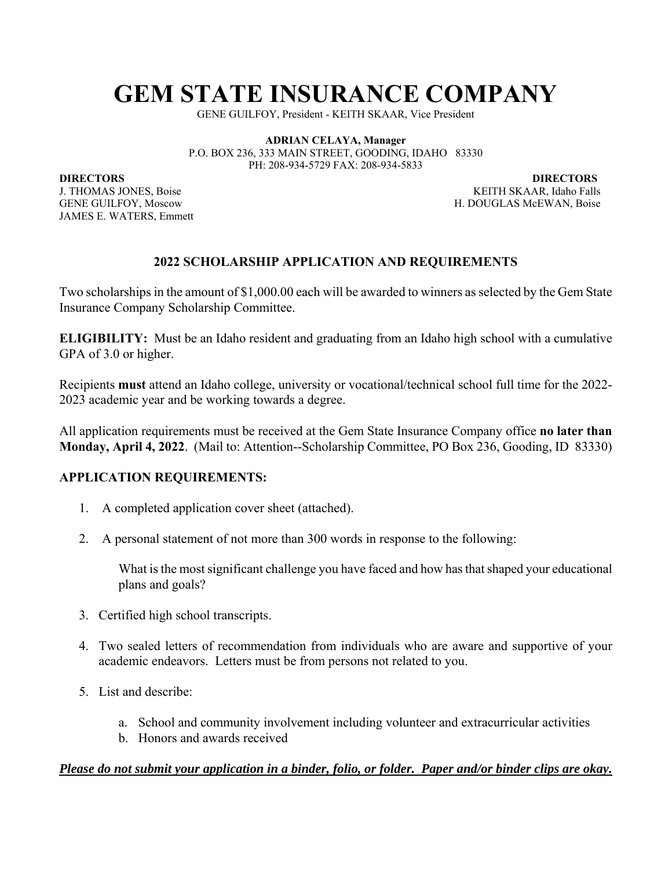# **GEM STATE INSURANCE COMPANY**

GENE GUILFOY, President - KEITH SKAAR, Vice President

**ADRIAN CELAYA, Manager**  P.O. BOX 236, 333 MAIN STREET, GOODING, IDAHO 83330 PH: 208-934-5729 FAX: 208-934-5833

**DIRECTORS** DIRECTORS **DIRECTORS** 

JAMES E. WATERS, Emmett

J. THOMAS JONES, BoiseKEITH SKAAR, Idaho Falls GENE GUILFOY, Moscow H. DOUGLAS McEWAN, Boise

#### **2022 SCHOLARSHIP APPLICATION AND REQUIREMENTS**

Two scholarships in the amount of \$1,000.00 each will be awarded to winners as selected by the Gem State Insurance Company Scholarship Committee.

**ELIGIBILITY:** Must be an Idaho resident and graduating from an Idaho high school with a cumulative GPA of 3.0 or higher.

Recipients **must** attend an Idaho college, university or vocational/technical school full time for the 2022- 2023 academic year and be working towards a degree.

All application requirements must be received at the Gem State Insurance Company office **no later than Monday, April 4, 2022**. (Mail to: Attention--Scholarship Committee, PO Box 236, Gooding, ID 83330)

#### **APPLICATION REQUIREMENTS:**

- 1. A completed application cover sheet (attached).
- 2. A personal statement of not more than 300 words in response to the following:

What is the most significant challenge you have faced and how has that shaped your educational plans and goals?

- 3. Certified high school transcripts.
- 4. Two sealed letters of recommendation from individuals who are aware and supportive of your academic endeavors. Letters must be from persons not related to you.
- 5. List and describe:
	- a. School and community involvement including volunteer and extracurricular activities
	- b. Honors and awards received

#### *Please do not submit your application in a binder, folio, or folder. Paper and/or binder clips are okay.*